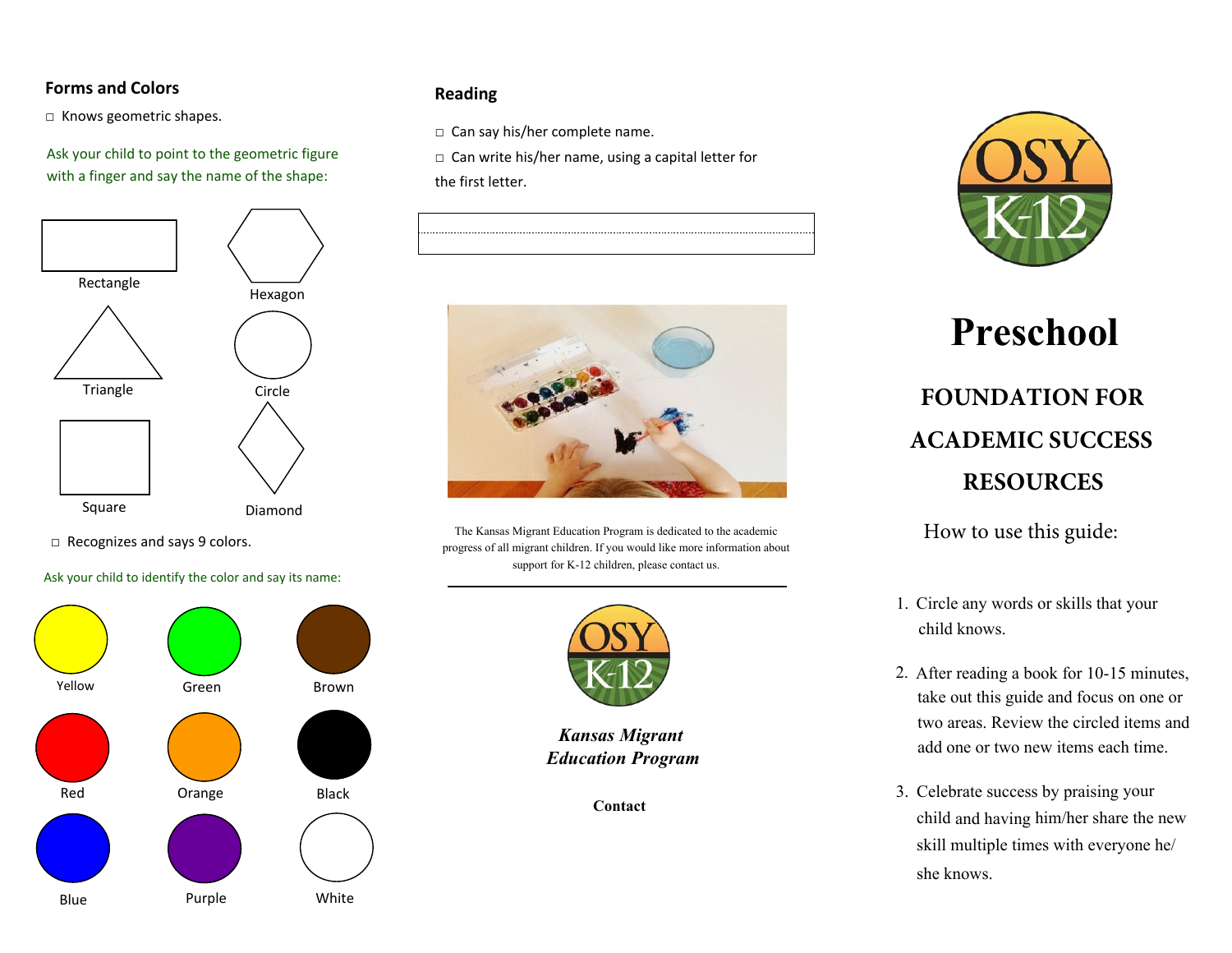# **Forms and Colors**

□ Knows geometric shapes.

Ask your child to point to the geometric figure with a finger and say the name of the shape:



□ Recognizes and says 9 colors.

Ask your child to identify the color and say its name:



# **Reading**

□ Can say his/her complete name.

□ Can write his/her name, using a capital letter for the first letter.





The Kansas Migrant Education Program is dedicated to the academic progress of all migrant children. If you would like more information about support for K-12 children, please contact us.



*Kansas Migrant Education Program*

**[Contact](https://maps.google.com/maps?q=2611+Pringle+Rd+SE,+Salem,+OR&hl=en&sll=44.145447,-120.583402&sspn=3.176959,0.944824&t=h&hnear=2611+Pringle+Rd+SE,+Salem,+Marion,+Oregon+97302&z=14C:/Users/Timothy.Blackburn/Documents/1.%20PTS%20Trainer%20Information%20Docs)** 



# **Preschool FOUNDATION FOR ACADEMIC SUCCESS RESOURCES**

How to use this guide:

- 1. Circle any words or skills that your child knows.
- 2. After reading a book for 10-15 minutes, take out this guide and focus on one or two areas. Review the circled items and add one or two new items each time.
- 3. Celebrate success by praising your child and having him/her share the new skill multiple times with everyone he/ she knows.